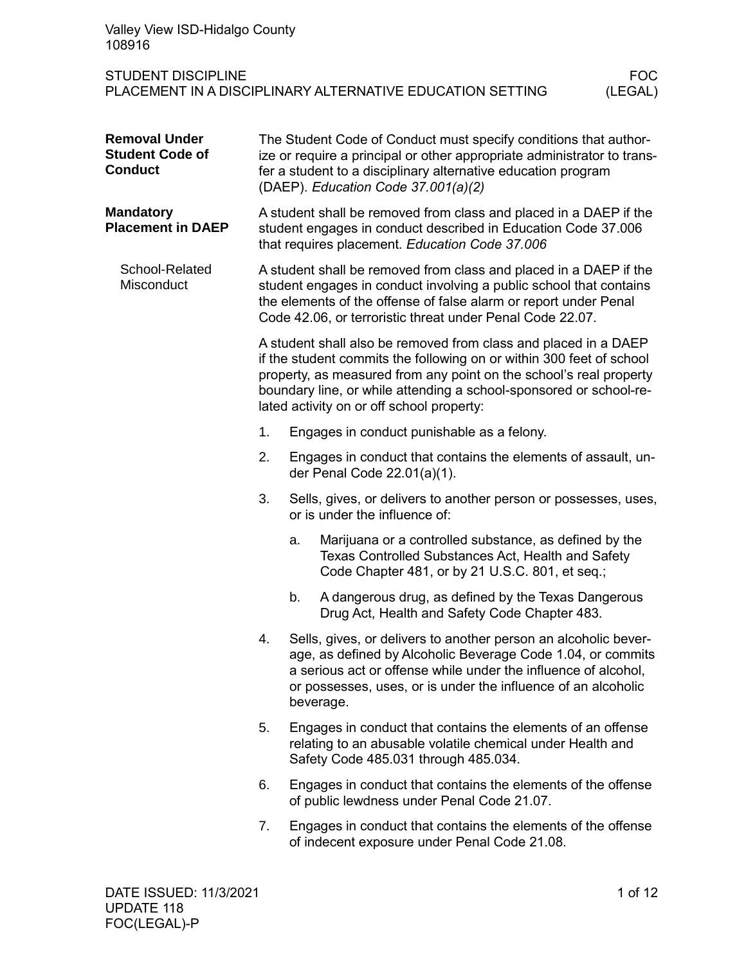| Valley View ISD-Hidalgo County<br>108916                                                                        |                                                                                                                                                                                                                                                                          |                                                                                                                                                                                                                                                                                                                                  |                                                                                                                                                                                                                                                                                |  |  |
|-----------------------------------------------------------------------------------------------------------------|--------------------------------------------------------------------------------------------------------------------------------------------------------------------------------------------------------------------------------------------------------------------------|----------------------------------------------------------------------------------------------------------------------------------------------------------------------------------------------------------------------------------------------------------------------------------------------------------------------------------|--------------------------------------------------------------------------------------------------------------------------------------------------------------------------------------------------------------------------------------------------------------------------------|--|--|
| <b>STUDENT DISCIPLINE</b><br><b>FOC</b><br>PLACEMENT IN A DISCIPLINARY ALTERNATIVE EDUCATION SETTING<br>(LEGAL) |                                                                                                                                                                                                                                                                          |                                                                                                                                                                                                                                                                                                                                  |                                                                                                                                                                                                                                                                                |  |  |
| <b>Removal Under</b><br><b>Student Code of</b><br><b>Conduct</b>                                                |                                                                                                                                                                                                                                                                          | The Student Code of Conduct must specify conditions that author-<br>ize or require a principal or other appropriate administrator to trans-<br>fer a student to a disciplinary alternative education program<br>(DAEP). Education Code 37.001(a)(2)                                                                              |                                                                                                                                                                                                                                                                                |  |  |
| <b>Mandatory</b><br><b>Placement in DAEP</b>                                                                    |                                                                                                                                                                                                                                                                          | A student shall be removed from class and placed in a DAEP if the<br>student engages in conduct described in Education Code 37.006<br>that requires placement. Education Code 37.006                                                                                                                                             |                                                                                                                                                                                                                                                                                |  |  |
| School-Related<br>Misconduct                                                                                    | A student shall be removed from class and placed in a DAEP if the<br>student engages in conduct involving a public school that contains<br>the elements of the offense of false alarm or report under Penal<br>Code 42.06, or terroristic threat under Penal Code 22.07. |                                                                                                                                                                                                                                                                                                                                  |                                                                                                                                                                                                                                                                                |  |  |
|                                                                                                                 |                                                                                                                                                                                                                                                                          | A student shall also be removed from class and placed in a DAEP<br>if the student commits the following on or within 300 feet of school<br>property, as measured from any point on the school's real property<br>boundary line, or while attending a school-sponsored or school-re-<br>lated activity on or off school property: |                                                                                                                                                                                                                                                                                |  |  |
|                                                                                                                 | 1.                                                                                                                                                                                                                                                                       |                                                                                                                                                                                                                                                                                                                                  | Engages in conduct punishable as a felony.                                                                                                                                                                                                                                     |  |  |
|                                                                                                                 | 2.                                                                                                                                                                                                                                                                       |                                                                                                                                                                                                                                                                                                                                  | Engages in conduct that contains the elements of assault, un-<br>der Penal Code 22.01(a)(1).                                                                                                                                                                                   |  |  |
|                                                                                                                 | 3.                                                                                                                                                                                                                                                                       |                                                                                                                                                                                                                                                                                                                                  | Sells, gives, or delivers to another person or possesses, uses,<br>or is under the influence of:                                                                                                                                                                               |  |  |
|                                                                                                                 |                                                                                                                                                                                                                                                                          | a.                                                                                                                                                                                                                                                                                                                               | Marijuana or a controlled substance, as defined by the<br>Texas Controlled Substances Act, Health and Safety<br>Code Chapter 481, or by 21 U.S.C. 801, et seq.;                                                                                                                |  |  |
|                                                                                                                 |                                                                                                                                                                                                                                                                          | b.                                                                                                                                                                                                                                                                                                                               | A dangerous drug, as defined by the Texas Dangerous<br>Drug Act, Health and Safety Code Chapter 483.                                                                                                                                                                           |  |  |
|                                                                                                                 | 4.                                                                                                                                                                                                                                                                       |                                                                                                                                                                                                                                                                                                                                  | Sells, gives, or delivers to another person an alcoholic bever-<br>age, as defined by Alcoholic Beverage Code 1.04, or commits<br>a serious act or offense while under the influence of alcohol,<br>or possesses, uses, or is under the influence of an alcoholic<br>beverage. |  |  |
|                                                                                                                 | 5.                                                                                                                                                                                                                                                                       |                                                                                                                                                                                                                                                                                                                                  | Engages in conduct that contains the elements of an offense<br>relating to an abusable volatile chemical under Health and<br>Safety Code 485.031 through 485.034.                                                                                                              |  |  |
|                                                                                                                 | 6.                                                                                                                                                                                                                                                                       |                                                                                                                                                                                                                                                                                                                                  | Engages in conduct that contains the elements of the offense<br>of public lewdness under Penal Code 21.07.                                                                                                                                                                     |  |  |
|                                                                                                                 | 7.                                                                                                                                                                                                                                                                       |                                                                                                                                                                                                                                                                                                                                  | Engages in conduct that contains the elements of the offense<br>of indecent exposure under Penal Code 21.08.                                                                                                                                                                   |  |  |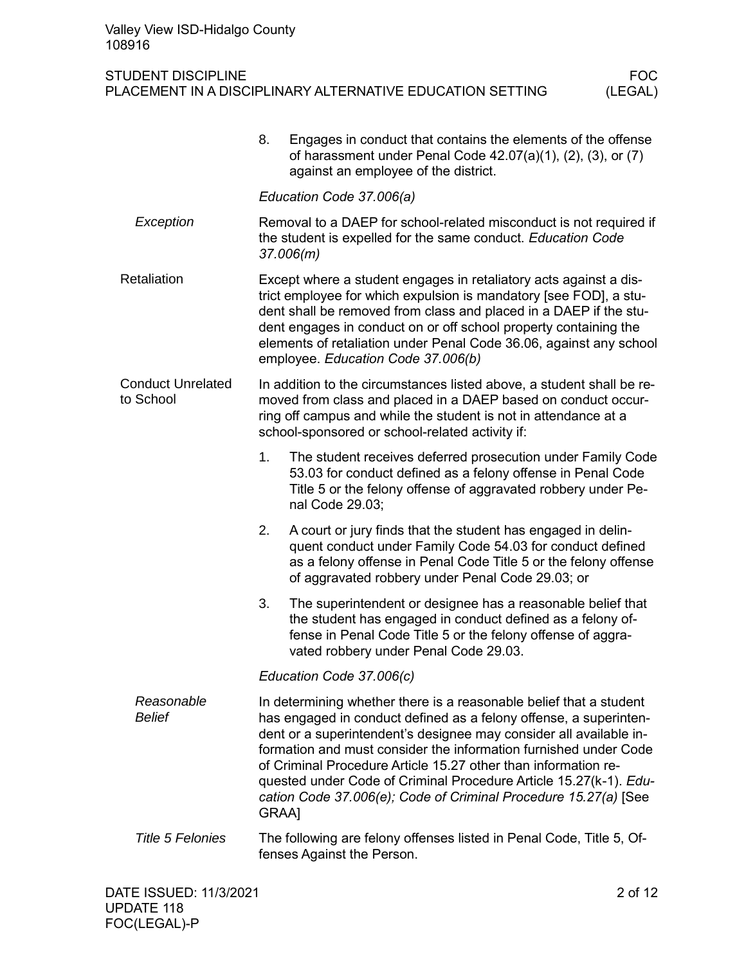|                                       | 8.<br>Engages in conduct that contains the elements of the offense<br>of harassment under Penal Code $42.07(a)(1)$ , $(2)$ , $(3)$ , or $(7)$<br>against an employee of the district.                                                                                                                                                                                                                                                                                                                |  |  |
|---------------------------------------|------------------------------------------------------------------------------------------------------------------------------------------------------------------------------------------------------------------------------------------------------------------------------------------------------------------------------------------------------------------------------------------------------------------------------------------------------------------------------------------------------|--|--|
|                                       | Education Code 37.006(a)                                                                                                                                                                                                                                                                                                                                                                                                                                                                             |  |  |
| Exception                             | Removal to a DAEP for school-related misconduct is not required if<br>the student is expelled for the same conduct. Education Code<br>37.006(m)                                                                                                                                                                                                                                                                                                                                                      |  |  |
| Retaliation                           | Except where a student engages in retaliatory acts against a dis-<br>trict employee for which expulsion is mandatory [see FOD], a stu-<br>dent shall be removed from class and placed in a DAEP if the stu-<br>dent engages in conduct on or off school property containing the<br>elements of retaliation under Penal Code 36.06, against any school<br>employee. Education Code 37.006(b)                                                                                                          |  |  |
| <b>Conduct Unrelated</b><br>to School | In addition to the circumstances listed above, a student shall be re-<br>moved from class and placed in a DAEP based on conduct occur-<br>ring off campus and while the student is not in attendance at a<br>school-sponsored or school-related activity if:                                                                                                                                                                                                                                         |  |  |
|                                       | The student receives deferred prosecution under Family Code<br>1.<br>53.03 for conduct defined as a felony offense in Penal Code<br>Title 5 or the felony offense of aggravated robbery under Pe-<br>nal Code 29.03;                                                                                                                                                                                                                                                                                 |  |  |
|                                       | A court or jury finds that the student has engaged in delin-<br>2.<br>quent conduct under Family Code 54.03 for conduct defined<br>as a felony offense in Penal Code Title 5 or the felony offense<br>of aggravated robbery under Penal Code 29.03; or                                                                                                                                                                                                                                               |  |  |
|                                       | The superintendent or designee has a reasonable belief that<br>3.<br>the student has engaged in conduct defined as a felony of-<br>fense in Penal Code Title 5 or the felony offense of aggra-<br>vated robbery under Penal Code 29.03.                                                                                                                                                                                                                                                              |  |  |
|                                       | Education Code 37.006(c)                                                                                                                                                                                                                                                                                                                                                                                                                                                                             |  |  |
| Reasonable<br><b>Belief</b>           | In determining whether there is a reasonable belief that a student<br>has engaged in conduct defined as a felony offense, a superinten-<br>dent or a superintendent's designee may consider all available in-<br>formation and must consider the information furnished under Code<br>of Criminal Procedure Article 15.27 other than information re-<br>quested under Code of Criminal Procedure Article 15.27(k-1). Edu-<br>cation Code 37.006(e); Code of Criminal Procedure 15.27(a) [See<br>GRAA] |  |  |
| <b>Title 5 Felonies</b>               | The following are felony offenses listed in Penal Code, Title 5, Of-<br>fenses Against the Person.                                                                                                                                                                                                                                                                                                                                                                                                   |  |  |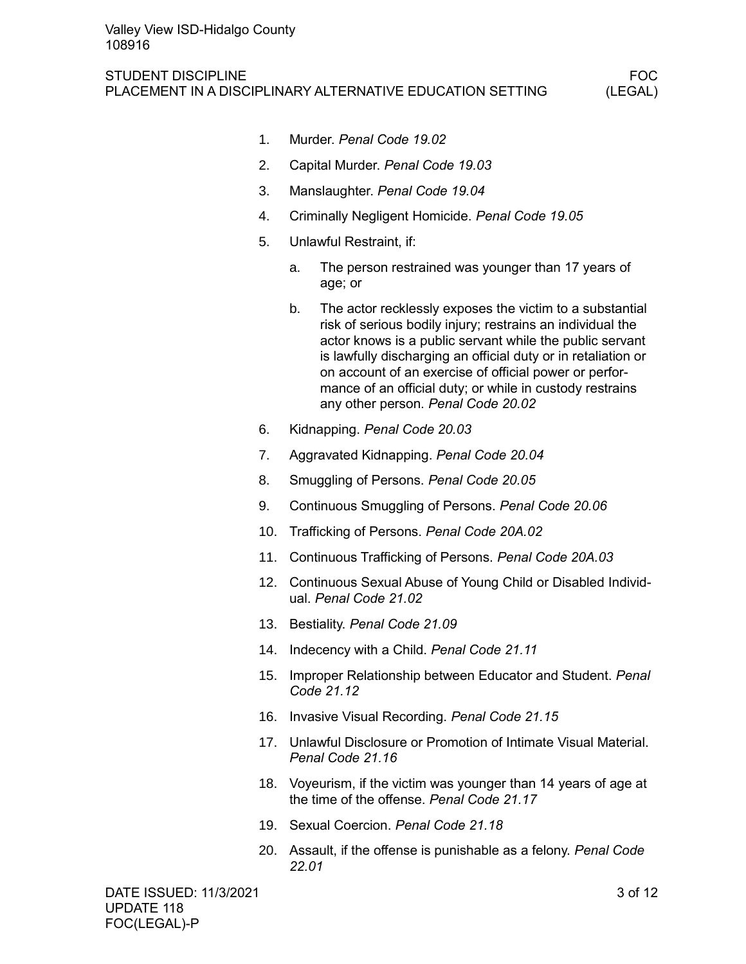- 1. Murder. *Penal Code 19.02*
- 2. Capital Murder. *Penal Code 19.03*
- 3. Manslaughter. *Penal Code 19.04*
- 4. Criminally Negligent Homicide. *Penal Code 19.05*
- 5. Unlawful Restraint, if:
	- a. The person restrained was younger than 17 years of age; or
	- b. The actor recklessly exposes the victim to a substantial risk of serious bodily injury; restrains an individual the actor knows is a public servant while the public servant is lawfully discharging an official duty or in retaliation or on account of an exercise of official power or performance of an official duty; or while in custody restrains any other person. *Penal Code 20.02*
- 6. Kidnapping. *Penal Code 20.03*
- 7. Aggravated Kidnapping. *Penal Code 20.04*
- 8. Smuggling of Persons. *Penal Code 20.05*
- 9. Continuous Smuggling of Persons. *Penal Code 20.06*
- 10. Trafficking of Persons. *Penal Code 20A.02*
- 11. Continuous Trafficking of Persons. *Penal Code 20A.03*
- 12. Continuous Sexual Abuse of Young Child or Disabled Individual. *Penal Code 21.02*
- 13. Bestiality. *Penal Code 21.09*
- 14. Indecency with a Child. *Penal Code 21.11*
- 15. Improper Relationship between Educator and Student. *Penal Code 21.12*
- 16. Invasive Visual Recording. *Penal Code 21.15*
- 17. Unlawful Disclosure or Promotion of Intimate Visual Material. *Penal Code 21.16*
- 18. Voyeurism, if the victim was younger than 14 years of age at the time of the offense. *Penal Code 21.17*
- 19. Sexual Coercion. *Penal Code 21.18*
- 20. Assault, if the offense is punishable as a felony. *Penal Code 22.01*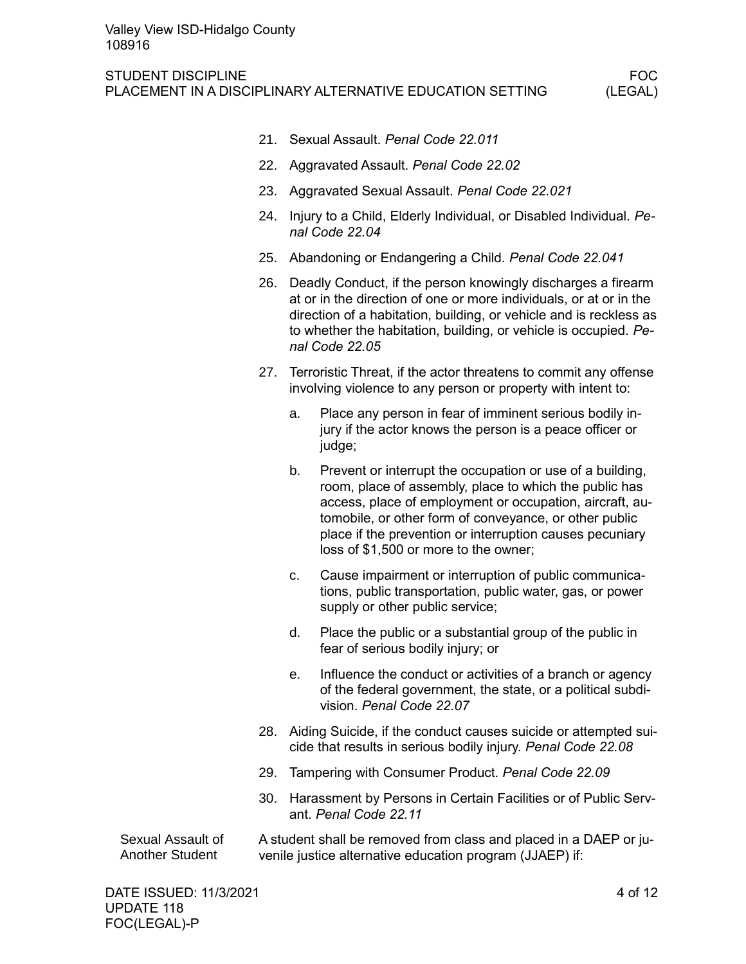- 21. Sexual Assault. *Penal Code 22.011*
- 22. Aggravated Assault. *Penal Code 22.02*
- 23. Aggravated Sexual Assault. *Penal Code 22.021*
- 24. Injury to a Child, Elderly Individual, or Disabled Individual. *Penal Code 22.04*
- 25. Abandoning or Endangering a Child. *Penal Code 22.041*
- 26. Deadly Conduct, if the person knowingly discharges a firearm at or in the direction of one or more individuals, or at or in the direction of a habitation, building, or vehicle and is reckless as to whether the habitation, building, or vehicle is occupied. *Penal Code 22.05*
- 27. Terroristic Threat, if the actor threatens to commit any offense involving violence to any person or property with intent to:
	- a. Place any person in fear of imminent serious bodily injury if the actor knows the person is a peace officer or judge;
	- b. Prevent or interrupt the occupation or use of a building, room, place of assembly, place to which the public has access, place of employment or occupation, aircraft, automobile, or other form of conveyance, or other public place if the prevention or interruption causes pecuniary loss of \$1,500 or more to the owner;
	- c. Cause impairment or interruption of public communications, public transportation, public water, gas, or power supply or other public service;
	- d. Place the public or a substantial group of the public in fear of serious bodily injury; or
	- e. Influence the conduct or activities of a branch or agency of the federal government, the state, or a political subdivision. *Penal Code 22.07*
- 28. Aiding Suicide, if the conduct causes suicide or attempted suicide that results in serious bodily injury. *Penal Code 22.08*
- 29. Tampering with Consumer Product. *Penal Code 22.09*
- 30. Harassment by Persons in Certain Facilities or of Public Servant. *Penal Code 22.11*

A student shall be removed from class and placed in a DAEP or juvenile justice alternative education program (JJAEP) if: Sexual Assault of Another Student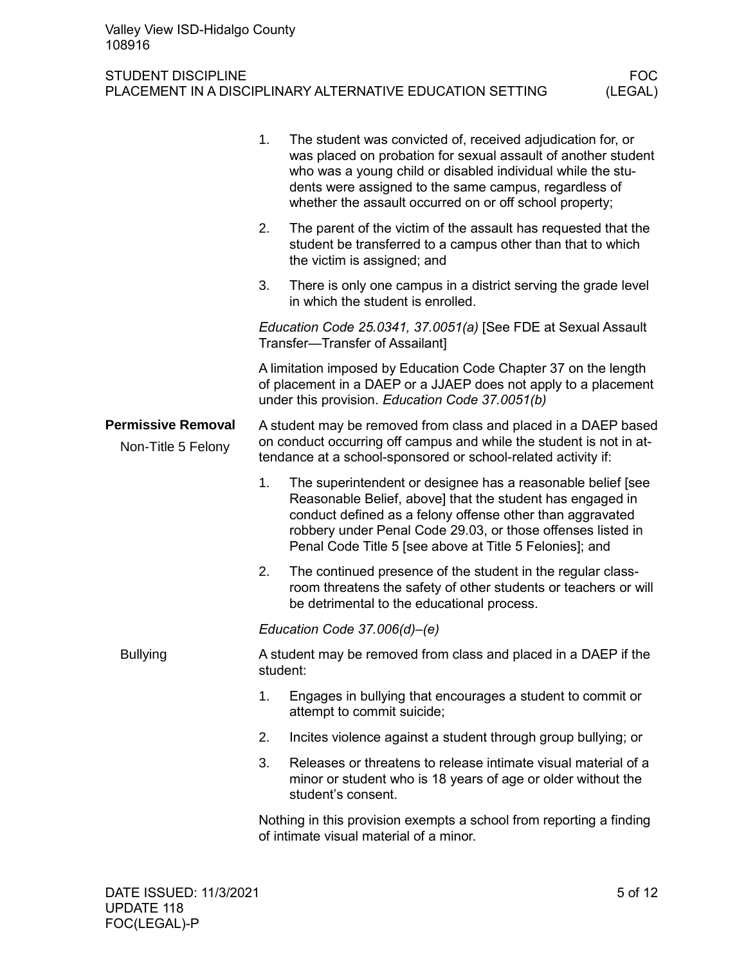|                                                 | 1.                                                                                                                                                                                                     | The student was convicted of, received adjudication for, or<br>was placed on probation for sexual assault of another student<br>who was a young child or disabled individual while the stu-<br>dents were assigned to the same campus, regardless of<br>whether the assault occurred on or off school property; |  |  |
|-------------------------------------------------|--------------------------------------------------------------------------------------------------------------------------------------------------------------------------------------------------------|-----------------------------------------------------------------------------------------------------------------------------------------------------------------------------------------------------------------------------------------------------------------------------------------------------------------|--|--|
|                                                 | 2.                                                                                                                                                                                                     | The parent of the victim of the assault has requested that the<br>student be transferred to a campus other than that to which<br>the victim is assigned; and                                                                                                                                                    |  |  |
|                                                 | 3.                                                                                                                                                                                                     | There is only one campus in a district serving the grade level<br>in which the student is enrolled.                                                                                                                                                                                                             |  |  |
|                                                 |                                                                                                                                                                                                        | Education Code 25.0341, 37.0051(a) [See FDE at Sexual Assault<br>Transfer-Transfer of Assailant]                                                                                                                                                                                                                |  |  |
|                                                 |                                                                                                                                                                                                        | A limitation imposed by Education Code Chapter 37 on the length<br>of placement in a DAEP or a JJAEP does not apply to a placement<br>under this provision. Education Code 37.0051(b)                                                                                                                           |  |  |
| <b>Permissive Removal</b><br>Non-Title 5 Felony | A student may be removed from class and placed in a DAEP based<br>on conduct occurring off campus and while the student is not in at-<br>tendance at a school-sponsored or school-related activity if: |                                                                                                                                                                                                                                                                                                                 |  |  |
|                                                 | 1.                                                                                                                                                                                                     | The superintendent or designee has a reasonable belief [see<br>Reasonable Belief, above] that the student has engaged in<br>conduct defined as a felony offense other than aggravated<br>robbery under Penal Code 29.03, or those offenses listed in<br>Penal Code Title 5 [see above at Title 5 Felonies]; and |  |  |
|                                                 | 2.                                                                                                                                                                                                     | The continued presence of the student in the regular class-<br>room threatens the safety of other students or teachers or will<br>be detrimental to the educational process.                                                                                                                                    |  |  |
|                                                 |                                                                                                                                                                                                        | Education Code 37.006(d)-(e)                                                                                                                                                                                                                                                                                    |  |  |
| <b>Bullying</b>                                 |                                                                                                                                                                                                        | A student may be removed from class and placed in a DAEP if the<br>student:                                                                                                                                                                                                                                     |  |  |
|                                                 | 1.                                                                                                                                                                                                     | Engages in bullying that encourages a student to commit or<br>attempt to commit suicide;                                                                                                                                                                                                                        |  |  |
|                                                 | 2.                                                                                                                                                                                                     | Incites violence against a student through group bullying; or                                                                                                                                                                                                                                                   |  |  |
|                                                 | 3.                                                                                                                                                                                                     | Releases or threatens to release intimate visual material of a<br>minor or student who is 18 years of age or older without the<br>student's consent.                                                                                                                                                            |  |  |
|                                                 | Nothing in this provision exempts a school from reporting a finding<br>of intimate visual material of a minor.                                                                                         |                                                                                                                                                                                                                                                                                                                 |  |  |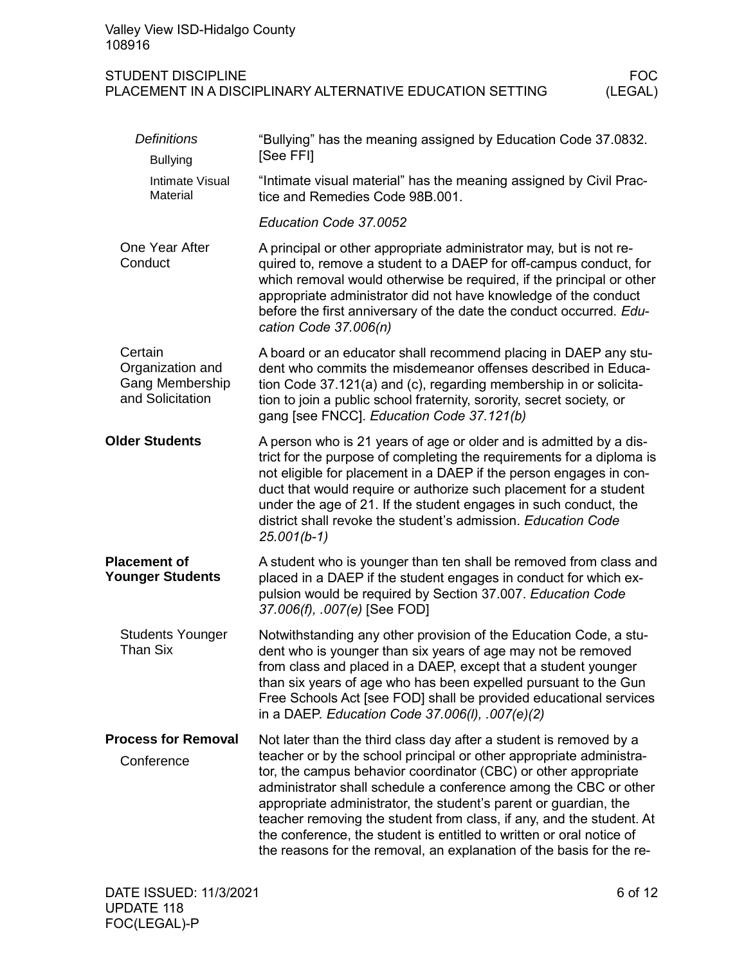| Valley View ISD-Hidalgo County<br>108916                                                                        |                                                                                                                                                                                                                                                                                                                                                                                                                                                                                                                                                                              |  |  |  |  |
|-----------------------------------------------------------------------------------------------------------------|------------------------------------------------------------------------------------------------------------------------------------------------------------------------------------------------------------------------------------------------------------------------------------------------------------------------------------------------------------------------------------------------------------------------------------------------------------------------------------------------------------------------------------------------------------------------------|--|--|--|--|
| <b>FOC</b><br><b>STUDENT DISCIPLINE</b><br>(LEGAL)<br>PLACEMENT IN A DISCIPLINARY ALTERNATIVE EDUCATION SETTING |                                                                                                                                                                                                                                                                                                                                                                                                                                                                                                                                                                              |  |  |  |  |
| <b>Definitions</b><br><b>Bullying</b>                                                                           | "Bullying" has the meaning assigned by Education Code 37.0832.<br>[See FFI]                                                                                                                                                                                                                                                                                                                                                                                                                                                                                                  |  |  |  |  |
| Intimate Visual<br>Material                                                                                     | "Intimate visual material" has the meaning assigned by Civil Prac-<br>tice and Remedies Code 98B.001.                                                                                                                                                                                                                                                                                                                                                                                                                                                                        |  |  |  |  |
|                                                                                                                 | Education Code 37.0052                                                                                                                                                                                                                                                                                                                                                                                                                                                                                                                                                       |  |  |  |  |
| One Year After<br>Conduct                                                                                       | A principal or other appropriate administrator may, but is not re-<br>quired to, remove a student to a DAEP for off-campus conduct, for<br>which removal would otherwise be required, if the principal or other<br>appropriate administrator did not have knowledge of the conduct<br>before the first anniversary of the date the conduct occurred. Edu-<br>cation Code 37.006(n)                                                                                                                                                                                           |  |  |  |  |
| Certain<br>Organization and<br>Gang Membership<br>and Solicitation                                              | A board or an educator shall recommend placing in DAEP any stu-<br>dent who commits the misdemeanor offenses described in Educa-<br>tion Code 37.121(a) and (c), regarding membership in or solicita-<br>tion to join a public school fraternity, sorority, secret society, or<br>gang [see FNCC]. Education Code 37.121(b)                                                                                                                                                                                                                                                  |  |  |  |  |
| <b>Older Students</b>                                                                                           | A person who is 21 years of age or older and is admitted by a dis-<br>trict for the purpose of completing the requirements for a diploma is<br>not eligible for placement in a DAEP if the person engages in con-<br>duct that would require or authorize such placement for a student<br>under the age of 21. If the student engages in such conduct, the<br>district shall revoke the student's admission. Education Code<br>$25.001(b-1)$                                                                                                                                 |  |  |  |  |
| <b>Placement of</b><br><b>Younger Students</b>                                                                  | A student who is younger than ten shall be removed from class and<br>placed in a DAEP if the student engages in conduct for which ex-<br>pulsion would be required by Section 37.007. Education Code<br>37.006(f), .007(e) [See FOD]                                                                                                                                                                                                                                                                                                                                         |  |  |  |  |
| <b>Students Younger</b><br>Than Six                                                                             | Notwithstanding any other provision of the Education Code, a stu-<br>dent who is younger than six years of age may not be removed<br>from class and placed in a DAEP, except that a student younger<br>than six years of age who has been expelled pursuant to the Gun<br>Free Schools Act [see FOD] shall be provided educational services<br>in a DAEP. Education Code 37.006(I), .007(e)(2)                                                                                                                                                                               |  |  |  |  |
| <b>Process for Removal</b><br>Conference                                                                        | Not later than the third class day after a student is removed by a<br>teacher or by the school principal or other appropriate administra-<br>tor, the campus behavior coordinator (CBC) or other appropriate<br>administrator shall schedule a conference among the CBC or other<br>appropriate administrator, the student's parent or guardian, the<br>teacher removing the student from class, if any, and the student. At<br>the conference, the student is entitled to written or oral notice of<br>the reasons for the removal, an explanation of the basis for the re- |  |  |  |  |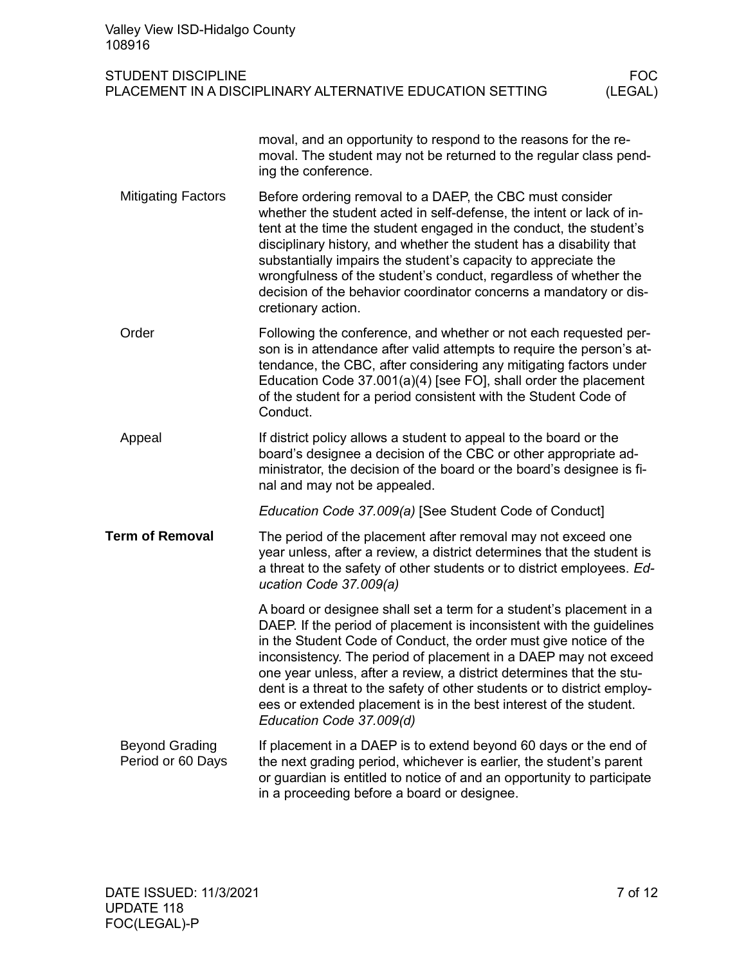| Valley View ISD-Hidalgo County<br>108916   |                                                                                                                                                                                                                                                                                                                                                                                                                                                                                                                                         |                       |
|--------------------------------------------|-----------------------------------------------------------------------------------------------------------------------------------------------------------------------------------------------------------------------------------------------------------------------------------------------------------------------------------------------------------------------------------------------------------------------------------------------------------------------------------------------------------------------------------------|-----------------------|
| <b>STUDENT DISCIPLINE</b>                  | PLACEMENT IN A DISCIPLINARY ALTERNATIVE EDUCATION SETTING                                                                                                                                                                                                                                                                                                                                                                                                                                                                               | <b>FOC</b><br>(LEGAL) |
|                                            | moval, and an opportunity to respond to the reasons for the re-<br>moval. The student may not be returned to the regular class pend-<br>ing the conference.                                                                                                                                                                                                                                                                                                                                                                             |                       |
| <b>Mitigating Factors</b>                  | Before ordering removal to a DAEP, the CBC must consider<br>whether the student acted in self-defense, the intent or lack of in-<br>tent at the time the student engaged in the conduct, the student's<br>disciplinary history, and whether the student has a disability that<br>substantially impairs the student's capacity to appreciate the<br>wrongfulness of the student's conduct, regardless of whether the<br>decision of the behavior coordinator concerns a mandatory or dis-<br>cretionary action.                          |                       |
| Order                                      | Following the conference, and whether or not each requested per-<br>son is in attendance after valid attempts to require the person's at-<br>tendance, the CBC, after considering any mitigating factors under<br>Education Code 37.001(a)(4) [see FO], shall order the placement<br>of the student for a period consistent with the Student Code of<br>Conduct.                                                                                                                                                                        |                       |
| Appeal                                     | If district policy allows a student to appeal to the board or the<br>board's designee a decision of the CBC or other appropriate ad-<br>ministrator, the decision of the board or the board's designee is fi-<br>nal and may not be appealed.                                                                                                                                                                                                                                                                                           |                       |
|                                            | Education Code 37.009(a) [See Student Code of Conduct]                                                                                                                                                                                                                                                                                                                                                                                                                                                                                  |                       |
| <b>Term of Removal</b>                     | The period of the placement after removal may not exceed one<br>year unless, after a review, a district determines that the student is<br>a threat to the safety of other students or to district employees. Ed-<br>ucation Code 37.009(a)                                                                                                                                                                                                                                                                                              |                       |
|                                            | A board or designee shall set a term for a student's placement in a<br>DAEP. If the period of placement is inconsistent with the guidelines<br>in the Student Code of Conduct, the order must give notice of the<br>inconsistency. The period of placement in a DAEP may not exceed<br>one year unless, after a review, a district determines that the stu-<br>dent is a threat to the safety of other students or to district employ-<br>ees or extended placement is in the best interest of the student.<br>Education Code 37.009(d) |                       |
| <b>Beyond Grading</b><br>Period or 60 Days | If placement in a DAEP is to extend beyond 60 days or the end of<br>the next grading period, whichever is earlier, the student's parent<br>or guardian is entitled to notice of and an opportunity to participate<br>in a proceeding before a board or designee.                                                                                                                                                                                                                                                                        |                       |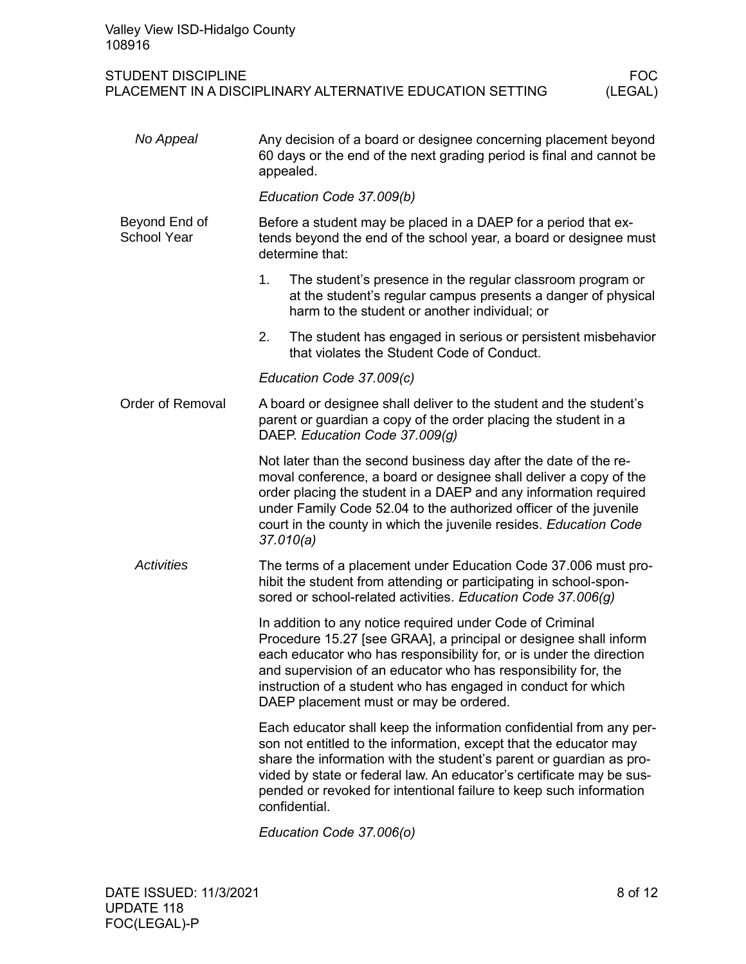Valley View ISD-Hidalgo County 108916

# STUDENT DISCIPLINE<br>PLACEMENT IN A DISCIPLINARY ALTERNATIVE EDUCATION SETTING (LEGAL) PLACEMENT IN A DISCIPLINARY ALTERNATIVE EDUCATION SETTING

| No Appeal                           | Any decision of a board or designee concerning placement beyond<br>60 days or the end of the next grading period is final and cannot be<br>appealed.                                                                                                                                                                                                                              |  |  |  |
|-------------------------------------|-----------------------------------------------------------------------------------------------------------------------------------------------------------------------------------------------------------------------------------------------------------------------------------------------------------------------------------------------------------------------------------|--|--|--|
|                                     | Education Code 37.009(b)                                                                                                                                                                                                                                                                                                                                                          |  |  |  |
| Beyond End of<br><b>School Year</b> | Before a student may be placed in a DAEP for a period that ex-<br>tends beyond the end of the school year, a board or designee must<br>determine that:                                                                                                                                                                                                                            |  |  |  |
|                                     | 1.<br>The student's presence in the regular classroom program or<br>at the student's regular campus presents a danger of physical<br>harm to the student or another individual; or                                                                                                                                                                                                |  |  |  |
|                                     | 2.<br>The student has engaged in serious or persistent misbehavior<br>that violates the Student Code of Conduct.                                                                                                                                                                                                                                                                  |  |  |  |
|                                     | Education Code 37.009(c)                                                                                                                                                                                                                                                                                                                                                          |  |  |  |
| <b>Order of Removal</b>             | A board or designee shall deliver to the student and the student's<br>parent or guardian a copy of the order placing the student in a<br>DAEP. Education Code 37.009(g)                                                                                                                                                                                                           |  |  |  |
|                                     | Not later than the second business day after the date of the re-<br>moval conference, a board or designee shall deliver a copy of the<br>order placing the student in a DAEP and any information required<br>under Family Code 52.04 to the authorized officer of the juvenile<br>court in the county in which the juvenile resides. Education Code<br>37.010(a)                  |  |  |  |
| <b>Activities</b>                   | The terms of a placement under Education Code 37.006 must pro-<br>hibit the student from attending or participating in school-spon-<br>sored or school-related activities. Education Code 37.006(g)                                                                                                                                                                               |  |  |  |
|                                     | In addition to any notice required under Code of Criminal<br>Procedure 15.27 [see GRAA], a principal or designee shall inform<br>each educator who has responsibility for, or is under the direction<br>and supervision of an educator who has responsibility for, the<br>instruction of a student who has engaged in conduct for which<br>DAEP placement must or may be ordered. |  |  |  |
|                                     | Each educator shall keep the information confidential from any per-<br>son not entitled to the information, except that the educator may<br>share the information with the student's parent or guardian as pro-<br>vided by state or federal law. An educator's certificate may be sus-<br>pended or revoked for intentional failure to keep such information<br>confidential.    |  |  |  |

*Education Code 37.006(o)*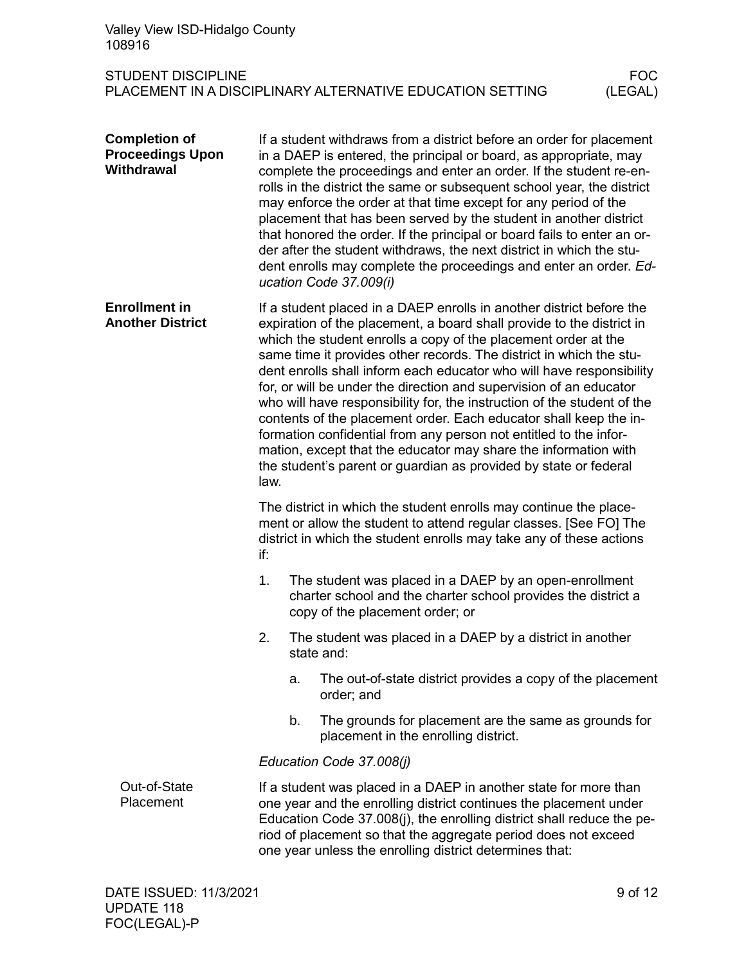| Valley View ISD-Hidalgo County<br>108916                             |                                                                                                                                                                                                                                                                                                                                                                                                                                                                                                                                                                                                                                                                                                                                                                                                          |                                                                                                                                                                                                                                                                                                                                             |                       |
|----------------------------------------------------------------------|----------------------------------------------------------------------------------------------------------------------------------------------------------------------------------------------------------------------------------------------------------------------------------------------------------------------------------------------------------------------------------------------------------------------------------------------------------------------------------------------------------------------------------------------------------------------------------------------------------------------------------------------------------------------------------------------------------------------------------------------------------------------------------------------------------|---------------------------------------------------------------------------------------------------------------------------------------------------------------------------------------------------------------------------------------------------------------------------------------------------------------------------------------------|-----------------------|
| <b>STUDENT DISCIPLINE</b>                                            |                                                                                                                                                                                                                                                                                                                                                                                                                                                                                                                                                                                                                                                                                                                                                                                                          | PLACEMENT IN A DISCIPLINARY ALTERNATIVE EDUCATION SETTING                                                                                                                                                                                                                                                                                   | <b>FOC</b><br>(LEGAL) |
| <b>Completion of</b><br><b>Proceedings Upon</b><br><b>Withdrawal</b> | If a student withdraws from a district before an order for placement<br>in a DAEP is entered, the principal or board, as appropriate, may<br>complete the proceedings and enter an order. If the student re-en-<br>rolls in the district the same or subsequent school year, the district<br>may enforce the order at that time except for any period of the<br>placement that has been served by the student in another district<br>that honored the order. If the principal or board fails to enter an or-<br>der after the student withdraws, the next district in which the stu-<br>dent enrolls may complete the proceedings and enter an order. Ed-<br>ucation Code 37.009(i)                                                                                                                      |                                                                                                                                                                                                                                                                                                                                             |                       |
| <b>Enrollment in</b><br><b>Another District</b>                      | If a student placed in a DAEP enrolls in another district before the<br>expiration of the placement, a board shall provide to the district in<br>which the student enrolls a copy of the placement order at the<br>same time it provides other records. The district in which the stu-<br>dent enrolls shall inform each educator who will have responsibility<br>for, or will be under the direction and supervision of an educator<br>who will have responsibility for, the instruction of the student of the<br>contents of the placement order. Each educator shall keep the in-<br>formation confidential from any person not entitled to the infor-<br>mation, except that the educator may share the information with<br>the student's parent or guardian as provided by state or federal<br>law. |                                                                                                                                                                                                                                                                                                                                             |                       |
|                                                                      | The district in which the student enrolls may continue the place-<br>ment or allow the student to attend regular classes. [See FO] The<br>district in which the student enrolls may take any of these actions<br>if:                                                                                                                                                                                                                                                                                                                                                                                                                                                                                                                                                                                     |                                                                                                                                                                                                                                                                                                                                             |                       |
|                                                                      | 1.                                                                                                                                                                                                                                                                                                                                                                                                                                                                                                                                                                                                                                                                                                                                                                                                       | The student was placed in a DAEP by an open-enrollment<br>charter school and the charter school provides the district a<br>copy of the placement order; or                                                                                                                                                                                  |                       |
|                                                                      | 2.                                                                                                                                                                                                                                                                                                                                                                                                                                                                                                                                                                                                                                                                                                                                                                                                       | The student was placed in a DAEP by a district in another<br>state and:                                                                                                                                                                                                                                                                     |                       |
|                                                                      |                                                                                                                                                                                                                                                                                                                                                                                                                                                                                                                                                                                                                                                                                                                                                                                                          | The out-of-state district provides a copy of the placement<br>a.<br>order; and                                                                                                                                                                                                                                                              |                       |
|                                                                      |                                                                                                                                                                                                                                                                                                                                                                                                                                                                                                                                                                                                                                                                                                                                                                                                          | b.<br>The grounds for placement are the same as grounds for<br>placement in the enrolling district.                                                                                                                                                                                                                                         |                       |
|                                                                      | Education Code 37.008(j)                                                                                                                                                                                                                                                                                                                                                                                                                                                                                                                                                                                                                                                                                                                                                                                 |                                                                                                                                                                                                                                                                                                                                             |                       |
| Out-of-State<br>Placement                                            |                                                                                                                                                                                                                                                                                                                                                                                                                                                                                                                                                                                                                                                                                                                                                                                                          | If a student was placed in a DAEP in another state for more than<br>one year and the enrolling district continues the placement under<br>Education Code 37.008(j), the enrolling district shall reduce the pe-<br>riod of placement so that the aggregate period does not exceed<br>one year unless the enrolling district determines that: |                       |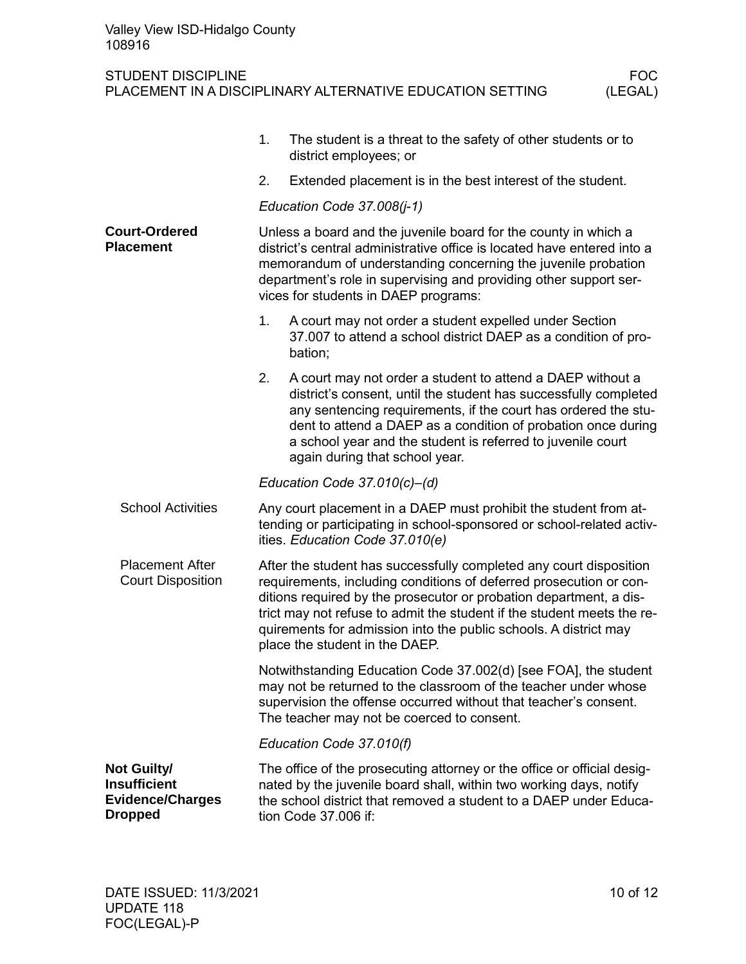|                                                                                        | 1. | The student is a threat to the safety of other students or to<br>district employees; or                                                                                                                                                                                                                                                                                                        |  |  |
|----------------------------------------------------------------------------------------|----|------------------------------------------------------------------------------------------------------------------------------------------------------------------------------------------------------------------------------------------------------------------------------------------------------------------------------------------------------------------------------------------------|--|--|
|                                                                                        | 2. | Extended placement is in the best interest of the student.                                                                                                                                                                                                                                                                                                                                     |  |  |
|                                                                                        |    | Education Code 37.008(j-1)                                                                                                                                                                                                                                                                                                                                                                     |  |  |
| <b>Court-Ordered</b><br><b>Placement</b>                                               |    | Unless a board and the juvenile board for the county in which a<br>district's central administrative office is located have entered into a<br>memorandum of understanding concerning the juvenile probation<br>department's role in supervising and providing other support ser-<br>vices for students in DAEP programs:                                                                       |  |  |
|                                                                                        | 1. | A court may not order a student expelled under Section<br>37.007 to attend a school district DAEP as a condition of pro-<br>bation;                                                                                                                                                                                                                                                            |  |  |
|                                                                                        | 2. | A court may not order a student to attend a DAEP without a<br>district's consent, until the student has successfully completed<br>any sentencing requirements, if the court has ordered the stu-<br>dent to attend a DAEP as a condition of probation once during<br>a school year and the student is referred to juvenile court<br>again during that school year.                             |  |  |
|                                                                                        |    | Education Code $37.010(c)$ –(d)                                                                                                                                                                                                                                                                                                                                                                |  |  |
| <b>School Activities</b>                                                               |    | Any court placement in a DAEP must prohibit the student from at-<br>tending or participating in school-sponsored or school-related activ-<br>ities. Education Code 37.010(e)                                                                                                                                                                                                                   |  |  |
| <b>Placement After</b><br><b>Court Disposition</b>                                     |    | After the student has successfully completed any court disposition<br>requirements, including conditions of deferred prosecution or con-<br>ditions required by the prosecutor or probation department, a dis-<br>trict may not refuse to admit the student if the student meets the re-<br>quirements for admission into the public schools. A district may<br>place the student in the DAEP. |  |  |
|                                                                                        |    | Notwithstanding Education Code 37.002(d) [see FOA], the student<br>may not be returned to the classroom of the teacher under whose<br>supervision the offense occurred without that teacher's consent.<br>The teacher may not be coerced to consent.                                                                                                                                           |  |  |
|                                                                                        |    | Education Code 37.010(f)                                                                                                                                                                                                                                                                                                                                                                       |  |  |
| <b>Not Guilty/</b><br><b>Insufficient</b><br><b>Evidence/Charges</b><br><b>Dropped</b> |    | The office of the prosecuting attorney or the office or official desig-<br>nated by the juvenile board shall, within two working days, notify<br>the school district that removed a student to a DAEP under Educa-<br>tion Code 37.006 if:                                                                                                                                                     |  |  |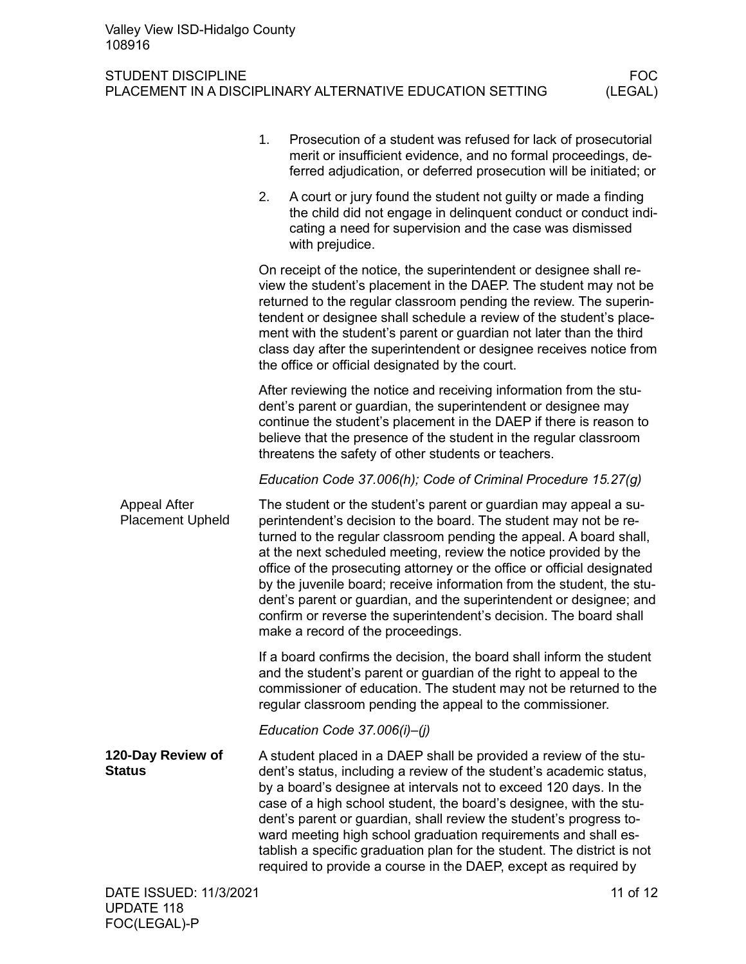FOC(LEGAL)-P

|                                                | 1. | Prosecution of a student was refused for lack of prosecutorial<br>merit or insufficient evidence, and no formal proceedings, de-<br>ferred adjudication, or deferred prosecution will be initiated; or                                                                                                                                                                                                                                                                                                                                                                                                             |          |
|------------------------------------------------|----|--------------------------------------------------------------------------------------------------------------------------------------------------------------------------------------------------------------------------------------------------------------------------------------------------------------------------------------------------------------------------------------------------------------------------------------------------------------------------------------------------------------------------------------------------------------------------------------------------------------------|----------|
|                                                | 2. | A court or jury found the student not guilty or made a finding<br>the child did not engage in delinquent conduct or conduct indi-<br>cating a need for supervision and the case was dismissed<br>with prejudice.                                                                                                                                                                                                                                                                                                                                                                                                   |          |
|                                                |    | On receipt of the notice, the superintendent or designee shall re-<br>view the student's placement in the DAEP. The student may not be<br>returned to the regular classroom pending the review. The superin-<br>tendent or designee shall schedule a review of the student's place-<br>ment with the student's parent or guardian not later than the third<br>class day after the superintendent or designee receives notice from<br>the office or official designated by the court.                                                                                                                               |          |
|                                                |    | After reviewing the notice and receiving information from the stu-<br>dent's parent or guardian, the superintendent or designee may<br>continue the student's placement in the DAEP if there is reason to<br>believe that the presence of the student in the regular classroom<br>threatens the safety of other students or teachers.                                                                                                                                                                                                                                                                              |          |
|                                                |    | Education Code 37.006(h); Code of Criminal Procedure 15.27(g)                                                                                                                                                                                                                                                                                                                                                                                                                                                                                                                                                      |          |
| <b>Appeal After</b><br><b>Placement Upheld</b> |    | The student or the student's parent or guardian may appeal a su-<br>perintendent's decision to the board. The student may not be re-<br>turned to the regular classroom pending the appeal. A board shall,<br>at the next scheduled meeting, review the notice provided by the<br>office of the prosecuting attorney or the office or official designated<br>by the juvenile board; receive information from the student, the stu-<br>dent's parent or guardian, and the superintendent or designee; and<br>confirm or reverse the superintendent's decision. The board shall<br>make a record of the proceedings. |          |
|                                                |    | If a board confirms the decision, the board shall inform the student<br>and the student's parent or guardian of the right to appeal to the<br>commissioner of education. The student may not be returned to the<br>regular classroom pending the appeal to the commissioner.                                                                                                                                                                                                                                                                                                                                       |          |
|                                                |    | Education Code 37.006(i)-(j)                                                                                                                                                                                                                                                                                                                                                                                                                                                                                                                                                                                       |          |
| 120-Day Review of<br><b>Status</b>             |    | A student placed in a DAEP shall be provided a review of the stu-<br>dent's status, including a review of the student's academic status,<br>by a board's designee at intervals not to exceed 120 days. In the<br>case of a high school student, the board's designee, with the stu-<br>dent's parent or guardian, shall review the student's progress to-<br>ward meeting high school graduation requirements and shall es-<br>tablish a specific graduation plan for the student. The district is not<br>required to provide a course in the DAEP, except as required by                                          |          |
| DATE ISSUED: 11/3/2021<br><b>UPDATE 118</b>    |    |                                                                                                                                                                                                                                                                                                                                                                                                                                                                                                                                                                                                                    | 11 of 12 |